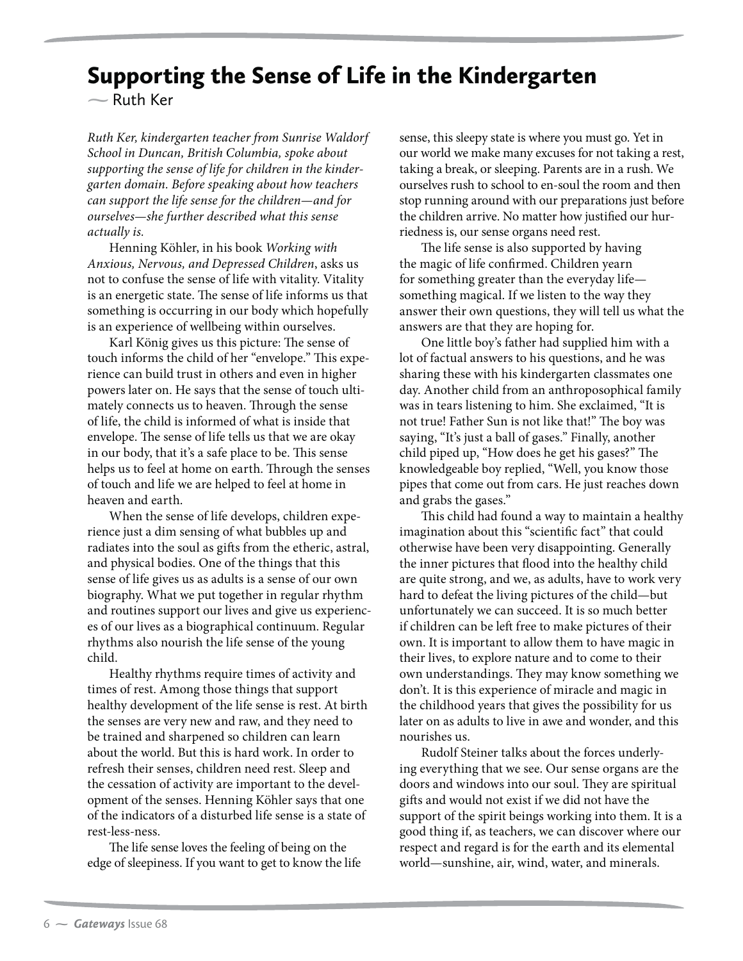## Supporting the Sense of Life in the Kindergarten

**-**Ruth Ker

*Ruth Ker, kindergarten teacher from Sunrise Waldorf School in Duncan, British Columbia, spoke about supporting the sense of life for children in the kindergarten domain. Before speaking about how teachers can support the life sense for the children—and for ourselves—she further described what this sense actually is.*

Henning Köhler, in his book *Working with Anxious, Nervous, and Depressed Children*, asks us not to confuse the sense of life with vitality. Vitality is an energetic state. The sense of life informs us that something is occurring in our body which hopefully is an experience of wellbeing within ourselves.

Karl König gives us this picture: The sense of touch informs the child of her "envelope." This experience can build trust in others and even in higher powers later on. He says that the sense of touch ultimately connects us to heaven. Through the sense of life, the child is informed of what is inside that envelope. The sense of life tells us that we are okay in our body, that it's a safe place to be. This sense helps us to feel at home on earth. Through the senses of touch and life we are helped to feel at home in heaven and earth.

When the sense of life develops, children experience just a dim sensing of what bubbles up and radiates into the soul as gifts from the etheric, astral, and physical bodies. One of the things that this sense of life gives us as adults is a sense of our own biography. What we put together in regular rhythm and routines support our lives and give us experiences of our lives as a biographical continuum. Regular rhythms also nourish the life sense of the young child.

Healthy rhythms require times of activity and times of rest. Among those things that support healthy development of the life sense is rest. At birth the senses are very new and raw, and they need to be trained and sharpened so children can learn about the world. But this is hard work. In order to refresh their senses, children need rest. Sleep and the cessation of activity are important to the development of the senses. Henning Köhler says that one of the indicators of a disturbed life sense is a state of rest-less-ness.

The life sense loves the feeling of being on the edge of sleepiness. If you want to get to know the life sense, this sleepy state is where you must go. Yet in our world we make many excuses for not taking a rest, taking a break, or sleeping. Parents are in a rush. We ourselves rush to school to en-soul the room and then stop running around with our preparations just before the children arrive. No matter how justified our hurriedness is, our sense organs need rest.

The life sense is also supported by having the magic of life confirmed. Children yearn for something greater than the everyday life something magical. If we listen to the way they answer their own questions, they will tell us what the answers are that they are hoping for.

One little boy's father had supplied him with a lot of factual answers to his questions, and he was sharing these with his kindergarten classmates one day. Another child from an anthroposophical family was in tears listening to him. She exclaimed, "It is not true! Father Sun is not like that!" The boy was saying, "It's just a ball of gases." Finally, another child piped up, "How does he get his gases?" The knowledgeable boy replied, "Well, you know those pipes that come out from cars. He just reaches down and grabs the gases."

This child had found a way to maintain a healthy imagination about this "scientific fact" that could otherwise have been very disappointing. Generally the inner pictures that flood into the healthy child are quite strong, and we, as adults, have to work very hard to defeat the living pictures of the child—but unfortunately we can succeed. It is so much better if children can be left free to make pictures of their own. It is important to allow them to have magic in their lives, to explore nature and to come to their own understandings. They may know something we don't. It is this experience of miracle and magic in the childhood years that gives the possibility for us later on as adults to live in awe and wonder, and this nourishes us.

Rudolf Steiner talks about the forces underlying everything that we see. Our sense organs are the doors and windows into our soul. They are spiritual gifts and would not exist if we did not have the support of the spirit beings working into them. It is a good thing if, as teachers, we can discover where our respect and regard is for the earth and its elemental world—sunshine, air, wind, water, and minerals.